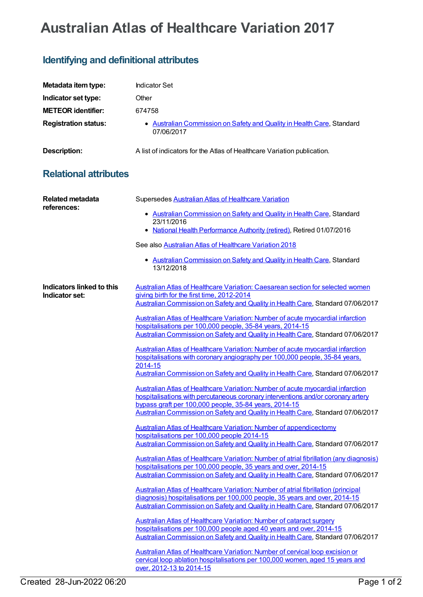## **Australian Atlas of Healthcare Variation 2017**

## **Identifying and definitional attributes**

| Metadata item type:                         | <b>Indicator Set</b>                                                                                                                                                                                                                          |
|---------------------------------------------|-----------------------------------------------------------------------------------------------------------------------------------------------------------------------------------------------------------------------------------------------|
| Indicator set type:                         | Other                                                                                                                                                                                                                                         |
| <b>METEOR identifier:</b>                   | 674758                                                                                                                                                                                                                                        |
| <b>Registration status:</b>                 | • Australian Commission on Safety and Quality in Health Care, Standard<br>07/06/2017                                                                                                                                                          |
| <b>Description:</b>                         | A list of indicators for the Atlas of Healthcare Variation publication.                                                                                                                                                                       |
| <b>Relational attributes</b>                |                                                                                                                                                                                                                                               |
| <b>Related metadata</b><br>references:      | Supersedes Australian Atlas of Healthcare Variation<br>• Australian Commission on Safety and Quality in Health Care, Standard                                                                                                                 |
|                                             | 23/11/2016<br>• National Health Performance Authority (retired), Retired 01/07/2016                                                                                                                                                           |
|                                             | See also Australian Atlas of Healthcare Variation 2018                                                                                                                                                                                        |
|                                             | • Australian Commission on Safety and Quality in Health Care, Standard<br>13/12/2018                                                                                                                                                          |
| Indicators linked to this<br>Indicator set: | Australian Atlas of Healthcare Variation: Caesarean section for selected women<br>giving birth for the first time, 2012-2014<br>Australian Commission on Safety and Quality in Health Care, Standard 07/06/2017                               |
|                                             | Australian Atlas of Healthcare Variation: Number of acute myocardial infarction<br>hospitalisations per 100,000 people, 35-84 years, 2014-15<br>Australian Commission on Safety and Quality in Health Care, Standard 07/06/2017               |
|                                             | Australian Atlas of Healthcare Variation: Number of acute myocardial infarction<br>hospitalisations with coronary angiography per 100,000 people, 35-84 years,<br>2014-15                                                                     |
|                                             | Australian Commission on Safety and Quality in Health Care, Standard 07/06/2017                                                                                                                                                               |
|                                             | Australian Atlas of Healthcare Variation: Number of acute myocardial infarction<br>hospitalisations with percutaneous coronary interventions and/or coronary artery<br>bypass graft per 100,000 people, 35-84 years, 2014-15                  |
|                                             | Australian Commission on Safety and Quality in Health Care, Standard 07/06/2017                                                                                                                                                               |
|                                             | <b>Australian Atlas of Healthcare Variation: Number of appendicectomy</b><br>hospitalisations per 100,000 people 2014-15                                                                                                                      |
|                                             | Australian Commission on Safety and Quality in Health Care, Standard 07/06/2017                                                                                                                                                               |
|                                             | Australian Atlas of Healthcare Variation: Number of atrial fibrillation (any diagnosis)<br>hospitalisations per 100,000 people, 35 years and over, 2014-15<br>Australian Commission on Safety and Quality in Health Care, Standard 07/06/2017 |
|                                             | Australian Atlas of Healthcare Variation: Number of atrial fibrillation (principal                                                                                                                                                            |
|                                             | diagnosis) hospitalisations per 100,000 people, 35 years and over, 2014-15<br>Australian Commission on Safety and Quality in Health Care, Standard 07/06/2017                                                                                 |
|                                             | <b>Australian Atlas of Healthcare Variation: Number of cataract surgery</b><br>hospitalisations per 100,000 people aged 40 years and over, 2014-15<br>Australian Commission on Safety and Quality in Health Care, Standard 07/06/2017         |
|                                             | Australian Atlas of Healthcare Variation: Number of cervical loop excision or<br>cervical loop ablation hospitalisations per 100,000 women, aged 15 years and<br>over, 2012-13 to 2014-15                                                     |